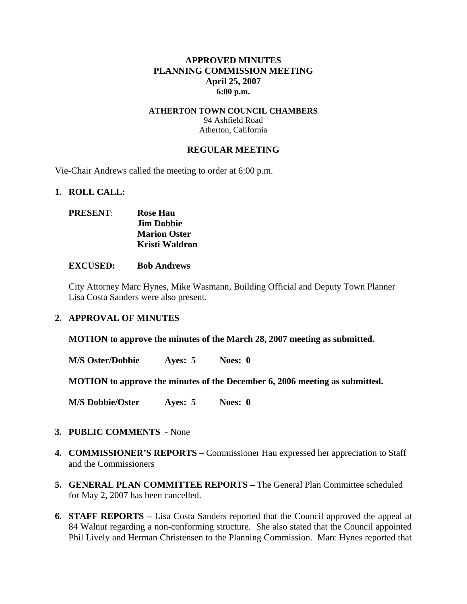## **APPROVED MINUTES PLANNING COMMISSION MEETING April 25, 2007 6:00 p.m.**

### **ATHERTON TOWN COUNCIL CHAMBERS**  94 Ashfield Road Atherton, California

### **REGULAR MEETING**

Vie-Chair Andrews called the meeting to order at 6:00 p.m.

#### **1. ROLL CALL:**

# **PRESENT**: **Rose Hau Jim Dobbie Marion Oster Kristi Waldron**

#### **EXCUSED: Bob Andrews**

City Attorney Marc Hynes, Mike Wasmann, Building Official and Deputy Town Planner Lisa Costa Sanders were also present.

## **2. APPROVAL OF MINUTES**

**MOTION to approve the minutes of the March 28, 2007 meeting as submitted.** 

**M/S Oster/Dobbie Ayes: 5 Noes: 0** 

**MOTION to approve the minutes of the December 6, 2006 meeting as submitted.** 

**M/S Dobbie/Oster Ayes: 5 Noes: 0**

## **3. PUBLIC COMMENTS** - None

- **4. COMMISSIONER'S REPORTS –** Commissioner Hau expressed her appreciation to Staff and the Commissioners
- **5. GENERAL PLAN COMMITTEE REPORTS –** The General Plan Committee scheduled for May 2, 2007 has been cancelled.
- **6. STAFF REPORTS** Lisa Costa Sanders reported that the Council approved the appeal at 84 Walnut regarding a non-conforming structure. She also stated that the Council appointed Phil Lively and Herman Christensen to the Planning Commission. Marc Hynes reported that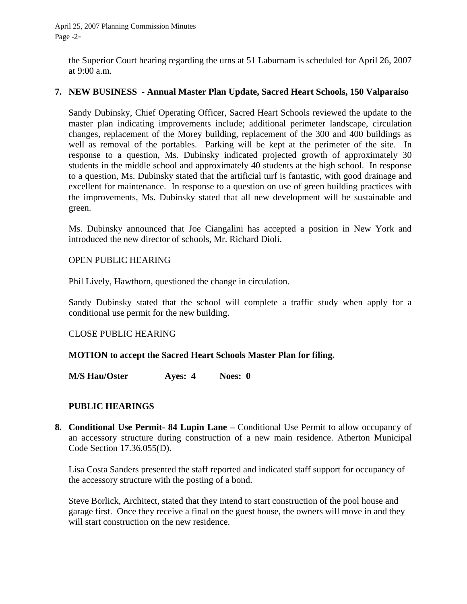the Superior Court hearing regarding the urns at 51 Laburnam is scheduled for April 26, 2007 at 9:00 a.m.

# **7. NEW BUSINESS - Annual Master Plan Update, Sacred Heart Schools, 150 Valparaiso**

Sandy Dubinsky, Chief Operating Officer, Sacred Heart Schools reviewed the update to the master plan indicating improvements include; additional perimeter landscape, circulation changes, replacement of the Morey building, replacement of the 300 and 400 buildings as well as removal of the portables. Parking will be kept at the perimeter of the site. In response to a question, Ms. Dubinsky indicated projected growth of approximately 30 students in the middle school and approximately 40 students at the high school. In response to a question, Ms. Dubinsky stated that the artificial turf is fantastic, with good drainage and excellent for maintenance. In response to a question on use of green building practices with the improvements, Ms. Dubinsky stated that all new development will be sustainable and green.

Ms. Dubinsky announced that Joe Ciangalini has accepted a position in New York and introduced the new director of schools, Mr. Richard Dioli.

## OPEN PUBLIC HEARING

Phil Lively, Hawthorn, questioned the change in circulation.

Sandy Dubinsky stated that the school will complete a traffic study when apply for a conditional use permit for the new building.

## CLOSE PUBLIC HEARING

## **MOTION to accept the Sacred Heart Schools Master Plan for filing.**

**M/S Hau/Oster Ayes: 4 Noes: 0** 

# **PUBLIC HEARINGS**

**8. Conditional Use Permit- 84 Lupin Lane –** Conditional Use Permit to allow occupancy of an accessory structure during construction of a new main residence. Atherton Municipal Code Section 17.36.055(D).

Lisa Costa Sanders presented the staff reported and indicated staff support for occupancy of the accessory structure with the posting of a bond.

Steve Borlick, Architect, stated that they intend to start construction of the pool house and garage first. Once they receive a final on the guest house, the owners will move in and they will start construction on the new residence.